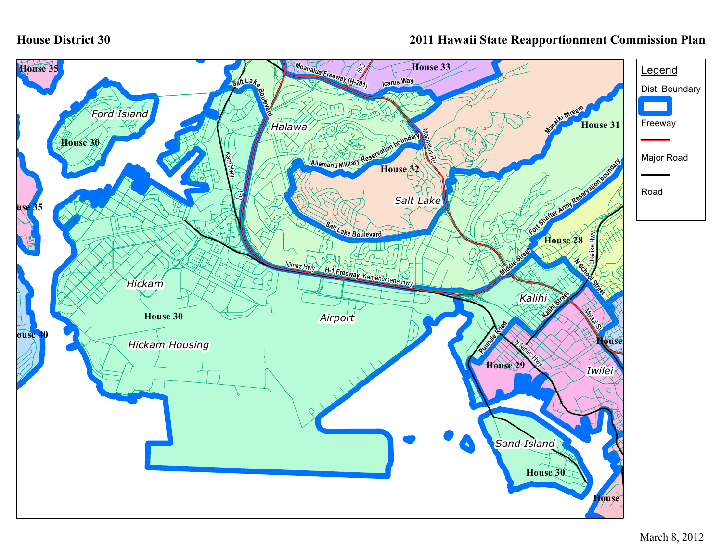## **House District 30**

## **2011 Hawaii State Reapportionment Commission Plan**